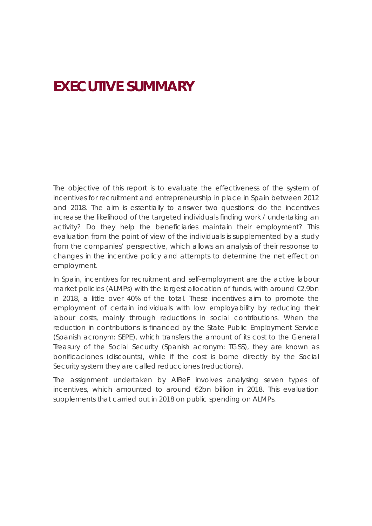# **EXECUTIVE SUMMARY**

The objective of this report is to evaluate the effectiveness of the system of incentives for recruitment and entrepreneurship in place in Spain between 2012 and 2018. The aim is essentially to answer two questions: do the incentives increase the likelihood of the targeted individuals finding work / undertaking an activity? Do they help the beneficiaries maintain their employment? This evaluation from the point of view of the individuals is supplemented by a study from the companies' perspective, which allows an analysis of their response to changes in the incentive policy and attempts to determine the net effect on employment.

In Spain, incentives for recruitment and self-employment are the active labour market policies (ALMPs) with the largest allocation of funds, with around €2.9bn in 2018, a little over 40% of the total. These incentives aim to promote the employment of certain individuals with low employability by reducing their labour costs, mainly through reductions in social contributions. When the reduction in contributions is financed by the State Public Employment Service (Spanish acronym: SEPE), which transfers the amount of its cost to the General Treasury of the Social Security (Spanish acronym: TGSS), they are known as *bonificaciones* (discounts), while if the cost is borne directly by the Social Security system they are called *reducciones* (reductions).

The assignment undertaken by AIReF involves analysing seven types of incentives, which amounted to around €2bn billion in 2018. This evaluation supplements that carried out in 2018 on public spending on ALMPs.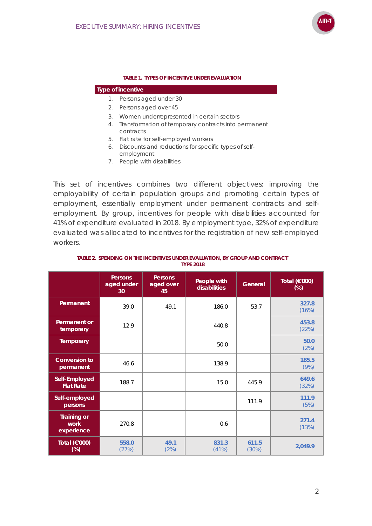

#### **TABLE 1. TYPES OF INCENTIVE UNDER EVALUATION**

| Type of incentive |  |
|-------------------|--|
|                   |  |

- 1. Persons aged under 30
- 2. Persons aged over 45
- 3. Women underrepresented in certain sectors
- 4. Transformation of temporary contracts into permanent contracts
- 5. Flat rate for self-employed workers
- 6. Discounts and reductions for specific types of self-
- employment 7. People with disabilities

This set of incentives combines two different objectives: improving the employability of certain population groups and promoting certain types of employment, essentially employment under permanent contracts and selfemployment. By group, incentives for people with disabilities accounted for 41% of expenditure evaluated in 2018. By employment type, 32% of expenditure evaluated was allocated to incentives for the registration of new self-employed workers.

|                                          | <b>Persons</b><br>aged under<br>30 | <b>Persons</b><br>aged over<br>45 | People with<br>disabilities | General        | Total (€'000)<br>$(\%)$ |
|------------------------------------------|------------------------------------|-----------------------------------|-----------------------------|----------------|-------------------------|
| Permanent                                | 39.0                               | 49.1                              | 186.0                       | 53.7           | 327.8<br>(16%)          |
| Permanent or<br>temporary                | 12.9                               |                                   | 440.8                       |                | 453.8<br>(22%)          |
| Temporary                                |                                    |                                   | 50.0                        |                | 50.0<br>(2%)            |
| <b>Conversion to</b><br>permanent        | 46.6                               |                                   | 138.9                       |                | 185.5<br>(9%)           |
| Self-Employed<br><b>Flat Rate</b>        | 188.7                              |                                   | 15.0                        | 445.9          | 649.6<br>(32%)          |
| Self-employed<br>persons                 |                                    |                                   |                             | 111.9          | 111.9<br>(5%)           |
| <b>Training or</b><br>work<br>experience | 270.8                              |                                   | 0.6                         |                | 271.4<br>(13%)          |
| Total (€'000)<br>$(\%)$                  | 558.0<br>(27%)                     | 49.1<br>(2%)                      | 831.3<br>(41%)              | 611.5<br>(30%) | 2,049.9                 |

#### **TABLE 2. SPENDING ON THE INCENTIVES UNDER EVALUATION, BY GROUP AND CONTRACT TYPE 2018**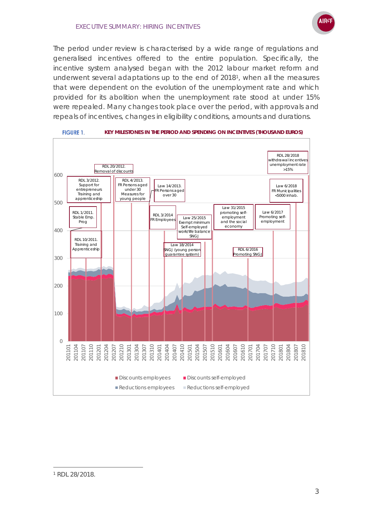The period under review is characterised by a wide range of regulations and generalised incentives offered to the entire population. Specifically, the incentive system analysed began with the 2012 labour market reform and underwent several adaptations up to the end of 2018[1](#page-2-0), when all the measures that were dependent on the evolution of the unemployment rate and which provided for its abolition when the unemployment rate stood at under 15% were repealed. Many changes took place over the period, with approvals and repeals of incentives, changes in eligibility conditions, amounts and durations.





<span id="page-2-0"></span><sup>1</sup> RDL 28/2018.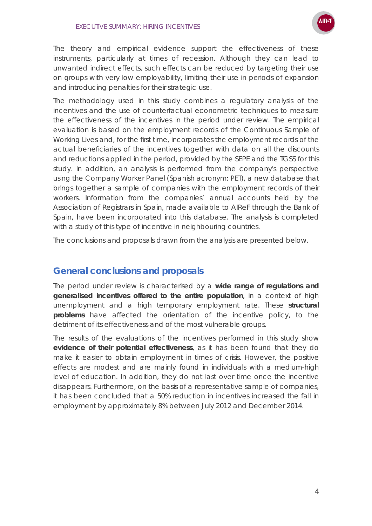

The theory and empirical evidence support the effectiveness of these instruments, particularly at times of recession. Although they can lead to unwanted indirect effects, such effects can be reduced by targeting their use on groups with very low employability, limiting their use in periods of expansion and introducing penalties for their strategic use.

The methodology used in this study combines a regulatory analysis of the incentives and the use of counterfactual econometric techniques to measure the effectiveness of the incentives in the period under review. The empirical evaluation is based on the employment records of the Continuous Sample of Working Lives and, for the first time, incorporates the employment records of the actual beneficiaries of the incentives together with data on all the discounts and reductions applied in the period, provided by the SEPE and the TGSS for this study. In addition, an analysis is performed from the company's perspective using the Company Worker Panel (Spanish acronym: PET), a new database that brings together a sample of companies with the employment records of their workers. Information from the companies' annual accounts held by the Association of Registrars in Spain, made available to AIReF through the Bank of Spain, have been incorporated into this database. The analysis is completed with a study of this type of incentive in neighbouring countries.

The conclusions and proposals drawn from the analysis are presented below.

### **General conclusions and proposals**

The period under review is characterised by a **wide range of regulations and generalised incentives offered to the entire population**, in a context of high unemployment and a high temporary employment rate. These **structural problems** have affected the orientation of the incentive policy, to the detriment of its effectiveness and of the most vulnerable groups.

The results of the evaluations of the incentives performed in this study show **evidence of their potential effectiveness**, as it has been found that they do make it easier to obtain employment in times of crisis. However, the positive effects are modest and are mainly found in individuals with a medium-high level of education. In addition, they do not last over time once the incentive disappears. Furthermore, on the basis of a representative sample of companies, it has been concluded that a 50% reduction in incentives increased the fall in employment by approximately 8% between July 2012 and December 2014.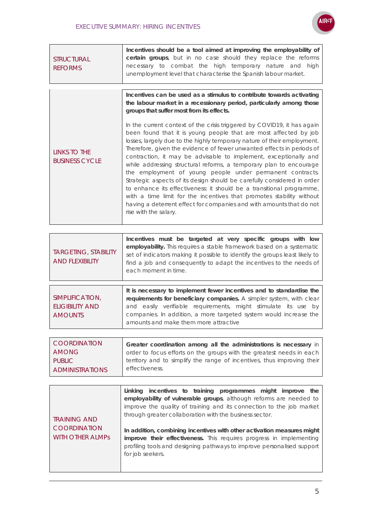

| <b>STRUCTURAL</b><br><b>REFORMS</b>                   | Incentives should be a tool aimed at improving the employability of<br>certain groups, but in no case should they replace the reforms<br>necessary to combat the high temporary nature and high<br>unemployment level that characterise the Spanish labour market.                                                                                                                                                                                                                                                                                                                                                                                                                                                                                                                                                                                                                                                                                                                                                               |
|-------------------------------------------------------|----------------------------------------------------------------------------------------------------------------------------------------------------------------------------------------------------------------------------------------------------------------------------------------------------------------------------------------------------------------------------------------------------------------------------------------------------------------------------------------------------------------------------------------------------------------------------------------------------------------------------------------------------------------------------------------------------------------------------------------------------------------------------------------------------------------------------------------------------------------------------------------------------------------------------------------------------------------------------------------------------------------------------------|
| LINKS TO THE<br><b>BUSINESS CYCLE</b>                 | Incentives can be used as a stimulus to contribute towards activating<br>the labour market in a recessionary period, particularly among those<br>groups that suffer most from its effects.<br>In the current context of the crisis triggered by COVID19, it has again<br>been found that it is young people that are most affected by job<br>losses, largely due to the highly temporary nature of their employment.<br>Therefore, given the evidence of fewer unwanted effects in periods of<br>contraction, it may be advisable to implement, exceptionally and<br>while addressing structural reforms, a temporary plan to encourage<br>the employment of young people under permanent contracts.<br>Strategic aspects of its design should be carefully considered in order<br>to enhance its effectiveness: it should be a transitional programme,<br>with a time limit for the incentives that promotes stability without<br>having a deterrent effect for companies and with amounts that do not<br>rise with the salary. |
|                                                       |                                                                                                                                                                                                                                                                                                                                                                                                                                                                                                                                                                                                                                                                                                                                                                                                                                                                                                                                                                                                                                  |
| <b>TARGETING, STABILITY</b><br><b>AND FLEXIBILITY</b> | Incentives must be targeted at very specific groups with low<br>employability. This requires a stable framework based on a systematic<br>set of indicators making it possible to identify the groups least likely to<br>find a job and consequently to adapt the incentives to the needs of<br>each moment in time.                                                                                                                                                                                                                                                                                                                                                                                                                                                                                                                                                                                                                                                                                                              |
|                                                       | It is necessary to implement fewer incentives and to standardise the                                                                                                                                                                                                                                                                                                                                                                                                                                                                                                                                                                                                                                                                                                                                                                                                                                                                                                                                                             |

|                        | It is necessary to implement fewer incentives and to standardise the |
|------------------------|----------------------------------------------------------------------|
| SIMPLIFICATION,        | requirements for beneficiary companies. A simpler system, with clear |
| <b>ELIGIBILITY AND</b> | and easily verifiable requirements, might stimulate its use by       |
| <b>AMOUNTS</b>         | companies. In addition, a more targeted system would increase the    |
|                        | amounts and make them more attractive                                |

| COORDINATION           | Greater coordination among all the administrations is necessary in      |
|------------------------|-------------------------------------------------------------------------|
| AMONG                  | order to focus efforts on the groups with the greatest needs in each    |
| PUBLIC <b>PUBLIC</b>   | territory and to simplify the range of incentives, thus improving their |
| <b>ADMINISTRATIONS</b> | effectiveness.                                                          |

| <b>TRAINING AND</b><br><b>COORDINATION</b><br><b>WITH OTHER ALMPS</b> | Linking incentives to training programmes might improve the<br>employability of vulnerable groups, although reforms are needed to<br>improve the quality of training and its connection to the job market<br>through greater collaboration with the business sector.<br>In addition, combining incentives with other activation measures might<br>improve their effectiveness. This requires progress in implementing<br>profiling tools and designing pathways to improve personalised support<br>for job seekers. |
|-----------------------------------------------------------------------|---------------------------------------------------------------------------------------------------------------------------------------------------------------------------------------------------------------------------------------------------------------------------------------------------------------------------------------------------------------------------------------------------------------------------------------------------------------------------------------------------------------------|
|-----------------------------------------------------------------------|---------------------------------------------------------------------------------------------------------------------------------------------------------------------------------------------------------------------------------------------------------------------------------------------------------------------------------------------------------------------------------------------------------------------------------------------------------------------------------------------------------------------|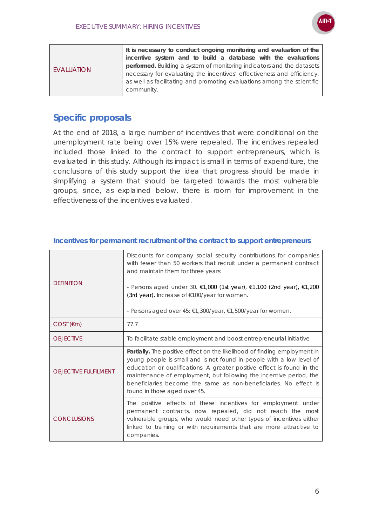

|            | It is necessary to conduct ongoing monitoring and evaluation of the    |
|------------|------------------------------------------------------------------------|
| EVALUATION | incentive system and to build a database with the evaluations          |
|            | performed. Building a system of monitoring indicators and the datasets |
|            | necessary for evaluating the incentives' effectiveness and efficiency, |
|            | as well as facilitating and promoting evaluations among the scientific |
|            | community.                                                             |
|            |                                                                        |

## **Specific proposals**

At the end of 2018, a large number of incentives that were conditional on the unemployment rate being over 15% were repealed. The incentives repealed included those linked to the contract to support entrepreneurs, which is evaluated in this study. Although its impact is small in terms of expenditure, the conclusions of this study support the idea that progress should be made in simplifying a system that should be targeted towards the most vulnerable groups, since, as explained below, there is room for improvement in the effectiveness of the incentives evaluated.

| <b>DEFINITION</b>           | Discounts for company social security contributions for companies<br>with fewer than 50 workers that recruit under a permanent contract<br>and maintain them for three years:<br>- Persons aged under 30. $€1,000$ (1st year), $€1,100$ (2nd year), $€1,200$<br>(3rd year). Increase of €100/year for women.<br>- Persons aged over 45: €1,300/year, €1,500/year for women.                           |
|-----------------------------|-------------------------------------------------------------------------------------------------------------------------------------------------------------------------------------------------------------------------------------------------------------------------------------------------------------------------------------------------------------------------------------------------------|
| $COST$ ( $\epsilon$ m)      | 77.7                                                                                                                                                                                                                                                                                                                                                                                                  |
| <b>OBJECTIVE</b>            | To facilitate stable employment and boost entrepreneurial initiative                                                                                                                                                                                                                                                                                                                                  |
| <b>OBJECTIVE FULFILMENT</b> | Partially. The positive effect on the likelihood of finding employment in<br>young people is small and is not found in people with a low level of<br>education or qualifications. A greater positive effect is found in the<br>maintenance of employment, but following the incentive period, the<br>beneficiaries become the same as non-beneficiaries. No effect is<br>found in those aged over 45. |
| <b>CONCLUSIONS</b>          | The positive effects of these incentives for employment under<br>permanent contracts, now repealed, did not reach the most<br>vulnerable groups, who would need other types of incentives either<br>linked to training or with requirements that are more attractive to<br>companies.                                                                                                                 |

#### **Incentives for permanent recruitment of the contract to support entrepreneurs**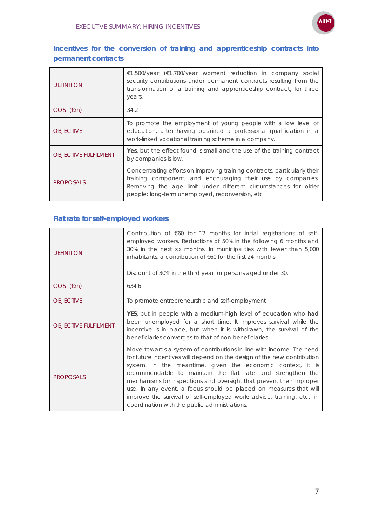

### **Incentives for the conversion of training and apprenticeship contracts into permanent contracts**

| <b>DEFINITION</b>           | €1,500/year (€1,700/year women) reduction in company social<br>security contributions under permanent contracts resulting from the<br>transformation of a training and apprenticeship contract, for three<br>years.                                            |
|-----------------------------|----------------------------------------------------------------------------------------------------------------------------------------------------------------------------------------------------------------------------------------------------------------|
| $COST$ ( $\epsilon$ m)      | 34.2                                                                                                                                                                                                                                                           |
| <b>OBJECTIVE</b>            | To promote the employment of young people with a low level of<br>education, after having obtained a professional qualification in a<br>work-linked vocational training scheme in a company.                                                                    |
| <b>OBJECTIVE FULFILMENT</b> | Yes, but the effect found is small and the use of the training contract<br>by companies is low.                                                                                                                                                                |
| <b>PROPOSALS</b>            | Concentrating efforts on improving training contracts, particularly their<br>training component, and encouraging their use by companies.<br>Removing the age limit under different circumstances for older<br>people: long-term unemployed, reconversion, etc. |

### **Flat rate for self-employed workers**

| <b>DEFINITION</b>           | Contribution of $\epsilon$ 60 for 12 months for initial registrations of self-<br>employed workers. Reductions of 50% in the following 6 months and<br>30% in the next six months. In municipalities with fewer than 5,000<br>inhabitants, a contribution of $\epsilon$ 60 for the first 24 months.<br>Discount of 30% in the third year for persons aged under 30.                                                                                                                                                                                 |
|-----------------------------|-----------------------------------------------------------------------------------------------------------------------------------------------------------------------------------------------------------------------------------------------------------------------------------------------------------------------------------------------------------------------------------------------------------------------------------------------------------------------------------------------------------------------------------------------------|
| $COST$ ( $\epsilon$ m)      | 634.6                                                                                                                                                                                                                                                                                                                                                                                                                                                                                                                                               |
| <b>OBJECTIVE</b>            | To promote entrepreneurship and self-employment                                                                                                                                                                                                                                                                                                                                                                                                                                                                                                     |
| <b>OBJECTIVE FULFILMENT</b> | YES, but in people with a medium-high level of education who had<br>been unemployed for a short time. It improves survival while the<br>incentive is in place, but when it is withdrawn, the survival of the<br>beneficiaries converges to that of non-beneficiaries.                                                                                                                                                                                                                                                                               |
| <b>PROPOSALS</b>            | Move towards a system of contributions in line with income. The need<br>for future incentives will depend on the design of the new contribution<br>system. In the meantime, given the economic context, it is<br>recommendable to maintain the flat rate and strengthen the<br>mechanisms for inspections and oversight that prevent their improper<br>use. In any event, a focus should be placed on measures that will<br>improve the survival of self-employed work: advice, training, etc., in<br>coordination with the public administrations. |